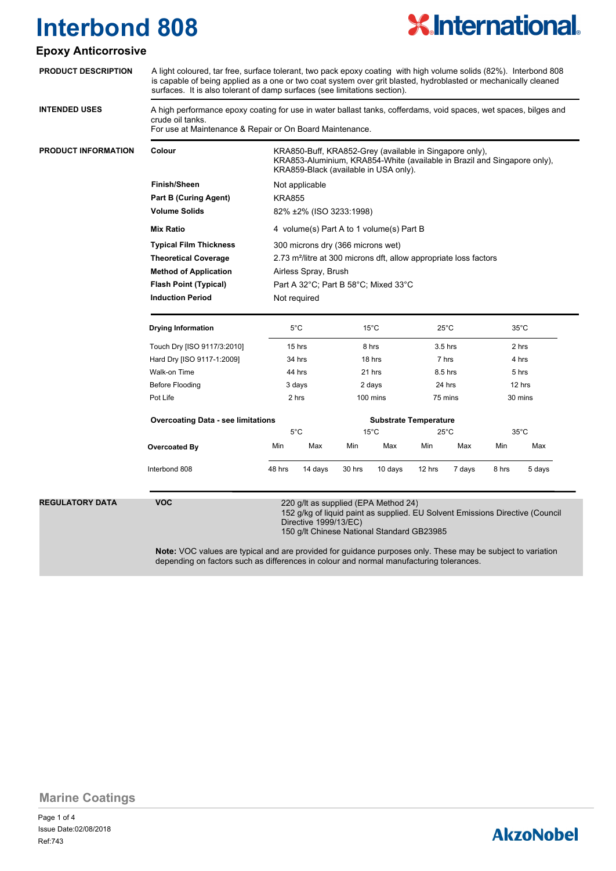

### **Epoxy Anticorrosive**

| <b>PRODUCT DESCRIPTION</b>                    | A light coloured, tar free, surface tolerant, two pack epoxy coating with high volume solids (82%). Interbond 808<br>is capable of being applied as a one or two coat system over grit blasted, hydroblasted or mechanically cleaned<br>surfaces. It is also tolerant of damp surfaces (see limitations section). |                                                                                                                                                |                                                                                                                                                                              |                    |                |                    |                              |                |                |  |  |
|-----------------------------------------------|-------------------------------------------------------------------------------------------------------------------------------------------------------------------------------------------------------------------------------------------------------------------------------------------------------------------|------------------------------------------------------------------------------------------------------------------------------------------------|------------------------------------------------------------------------------------------------------------------------------------------------------------------------------|--------------------|----------------|--------------------|------------------------------|----------------|----------------|--|--|
| <b>INTENDED USES</b>                          | A high performance epoxy coating for use in water ballast tanks, cofferdams, void spaces, wet spaces, bilges and<br>crude oil tanks.<br>For use at Maintenance & Repair or On Board Maintenance.                                                                                                                  |                                                                                                                                                |                                                                                                                                                                              |                    |                |                    |                              |                |                |  |  |
| <b>PRODUCT INFORMATION</b>                    | Colour                                                                                                                                                                                                                                                                                                            |                                                                                                                                                | KRA850-Buff, KRA852-Grey (available in Singapore only),<br>KRA853-Aluminium, KRA854-White (available in Brazil and Singapore only),<br>KRA859-Black (available in USA only). |                    |                |                    |                              |                |                |  |  |
|                                               | <b>Finish/Sheen</b>                                                                                                                                                                                                                                                                                               | Not applicable                                                                                                                                 |                                                                                                                                                                              |                    |                |                    |                              |                |                |  |  |
| <b>Part B (Curing Agent)</b><br><b>KRA855</b> |                                                                                                                                                                                                                                                                                                                   |                                                                                                                                                |                                                                                                                                                                              |                    |                |                    |                              |                |                |  |  |
|                                               | <b>Volume Solids</b>                                                                                                                                                                                                                                                                                              | 82% ±2% (ISO 3233:1998)                                                                                                                        |                                                                                                                                                                              |                    |                |                    |                              |                |                |  |  |
|                                               | <b>Mix Ratio</b>                                                                                                                                                                                                                                                                                                  | 4 volume(s) Part A to 1 volume(s) Part B                                                                                                       |                                                                                                                                                                              |                    |                |                    |                              |                |                |  |  |
|                                               | <b>Typical Film Thickness</b>                                                                                                                                                                                                                                                                                     | 300 microns dry (366 microns wet)                                                                                                              |                                                                                                                                                                              |                    |                |                    |                              |                |                |  |  |
|                                               | <b>Theoretical Coverage</b>                                                                                                                                                                                                                                                                                       | 2.73 m <sup>2</sup> /litre at 300 microns dft, allow appropriate loss factors<br>Airless Spray, Brush                                          |                                                                                                                                                                              |                    |                |                    |                              |                |                |  |  |
|                                               | <b>Method of Application</b>                                                                                                                                                                                                                                                                                      |                                                                                                                                                |                                                                                                                                                                              |                    |                |                    |                              |                |                |  |  |
|                                               | <b>Flash Point (Typical)</b><br>Part A 32°C; Part B 58°C; Mixed 33°C                                                                                                                                                                                                                                              |                                                                                                                                                |                                                                                                                                                                              |                    |                |                    |                              |                |                |  |  |
|                                               | <b>Induction Period</b><br>Not required                                                                                                                                                                                                                                                                           |                                                                                                                                                |                                                                                                                                                                              |                    |                |                    |                              |                |                |  |  |
|                                               | <b>Drying Information</b>                                                                                                                                                                                                                                                                                         |                                                                                                                                                | $5^{\circ}$ C                                                                                                                                                                | $15^{\circ}$ C     |                | $25^{\circ}$ C     |                              | $35^{\circ}$ C |                |  |  |
|                                               | Touch Dry [ISO 9117/3:2010]                                                                                                                                                                                                                                                                                       | 15 hrs<br>34 hrs                                                                                                                               |                                                                                                                                                                              | 8 hrs<br>18 hrs    |                | $3.5$ hrs<br>7 hrs |                              | 2 hrs<br>4 hrs |                |  |  |
|                                               | Hard Dry [ISO 9117-1:2009]                                                                                                                                                                                                                                                                                        |                                                                                                                                                |                                                                                                                                                                              |                    |                |                    |                              |                |                |  |  |
|                                               | Walk-on Time                                                                                                                                                                                                                                                                                                      | 44 hrs                                                                                                                                         |                                                                                                                                                                              | 21 hrs             |                | 8.5 hrs            |                              | 5 hrs          |                |  |  |
|                                               | Before Flooding                                                                                                                                                                                                                                                                                                   | 3 days                                                                                                                                         |                                                                                                                                                                              | 2 days             |                | 24 hrs             |                              | 12 hrs         |                |  |  |
|                                               | Pot Life                                                                                                                                                                                                                                                                                                          | 2 hrs                                                                                                                                          |                                                                                                                                                                              | $100 \text{ mins}$ |                | 75 mins            |                              | 30 mins        |                |  |  |
|                                               | <b>Overcoating Data - see limitations</b>                                                                                                                                                                                                                                                                         |                                                                                                                                                |                                                                                                                                                                              |                    |                |                    | <b>Substrate Temperature</b> |                |                |  |  |
|                                               |                                                                                                                                                                                                                                                                                                                   |                                                                                                                                                | $5^{\circ}$ C                                                                                                                                                                |                    | $15^{\circ}$ C |                    | $25^{\circ}$ C               |                | $35^{\circ}$ C |  |  |
|                                               | Overcoated By                                                                                                                                                                                                                                                                                                     | Min                                                                                                                                            | Max                                                                                                                                                                          | Min                | Max            | Min                | Max                          | Min            | Max            |  |  |
|                                               | Interbond 808                                                                                                                                                                                                                                                                                                     | 48 hrs                                                                                                                                         | 14 days                                                                                                                                                                      | 30 hrs             | 10 days        | 12 hrs             | 7 days                       | 8 hrs          | 5 days         |  |  |
| <b>REGULATORY DATA</b>                        | <b>VOC</b>                                                                                                                                                                                                                                                                                                        | 220 g/lt as supplied (EPA Method 24)<br>152 g/kg of liquid paint as supplied. EU Solvent Emissions Directive (Council<br>Directive 1999/13/EC) |                                                                                                                                                                              |                    |                |                    |                              |                |                |  |  |

150 g/lt Chinese National Standard GB23985

**Note:** VOC values are typical and are provided for guidance purposes only. These may be subject to variation depending on factors such as differences in colour and normal manufacturing tolerances.

**Marine Coatings**

Page 1 of 4 Ref:743 Issue Date:02/08/2018

# **AkzoNobel**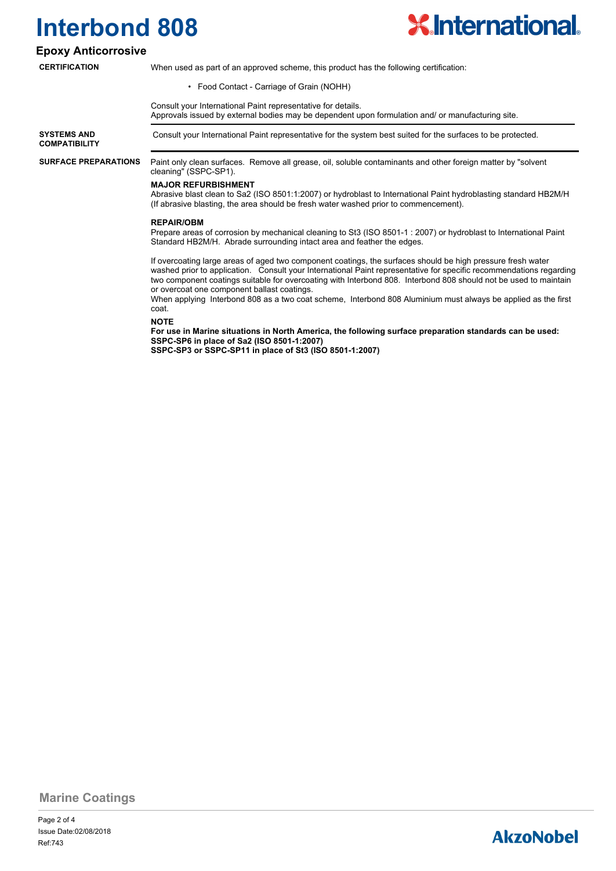

### **Epoxy Anticorrosive**

### **CERTIFICATION**

When used as part of an approved scheme, this product has the following certification:

• Food Contact - Carriage of Grain (NOHH)

Consult your International Paint representative for details.

Approvals issued by external bodies may be dependent upon formulation and/ or manufacturing site.

**SYSTEMS AND** Consult your International Paint representative for the system best suited for the surfaces to be protected.

**COMPATIBILITY**

**SURFACE PREPARATIONS**

Paint only clean surfaces. Remove all grease, oil, soluble contaminants and other foreign matter by "solvent cleaning" (SSPC-SP1).

#### **MAJOR REFURBISHMENT**

Abrasive blast clean to Sa2 (ISO 8501:1:2007) or hydroblast to International Paint hydroblasting standard HB2M/H (If abrasive blasting, the area should be fresh water washed prior to commencement).

#### **REPAIR/OBM**

Prepare areas of corrosion by mechanical cleaning to St3 (ISO 8501-1 : 2007) or hydroblast to International Paint Standard HB2M/H. Abrade surrounding intact area and feather the edges.

If overcoating large areas of aged two component coatings, the surfaces should be high pressure fresh water washed prior to application. Consult your International Paint representative for specific recommendations regarding two component coatings suitable for overcoating with Interbond 808. Interbond 808 should not be used to maintain or overcoat one component ballast coatings.

When applying Interbond 808 as a two coat scheme, Interbond 808 Aluminium must always be applied as the first coat.

**NOTE**

**For use in Marine situations in North America, the following surface preparation standards can be used: SSPC-SP6 in place of Sa2 (ISO 8501-1:2007) SSPC-SP3 or SSPC-SP11 in place of St3 (ISO 8501-1:2007)**

**Marine Coatings**

## **AkzoNobel**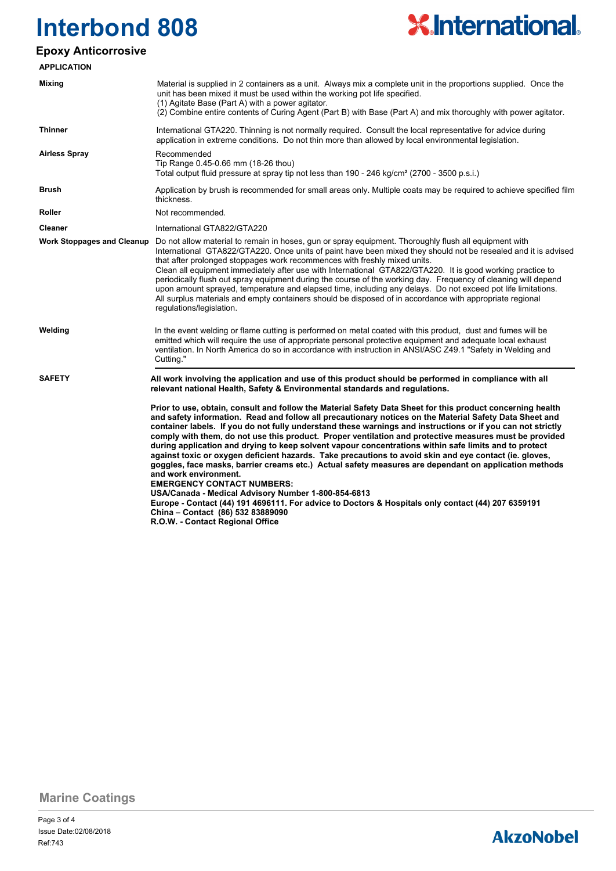

## **Epoxy Anticorrosive**

| <b>APPLICATION</b>                |                                                                                                                                                                                                                                                                                                                                                                                                                                                                                                                                                                                                                                                                                                                                                                                                                                                                                                                                                                                                                                                                                |  |  |  |  |
|-----------------------------------|--------------------------------------------------------------------------------------------------------------------------------------------------------------------------------------------------------------------------------------------------------------------------------------------------------------------------------------------------------------------------------------------------------------------------------------------------------------------------------------------------------------------------------------------------------------------------------------------------------------------------------------------------------------------------------------------------------------------------------------------------------------------------------------------------------------------------------------------------------------------------------------------------------------------------------------------------------------------------------------------------------------------------------------------------------------------------------|--|--|--|--|
| Mixing                            | Material is supplied in 2 containers as a unit. Always mix a complete unit in the proportions supplied. Once the<br>unit has been mixed it must be used within the working pot life specified.<br>(1) Agitate Base (Part A) with a power agitator.<br>(2) Combine entire contents of Curing Agent (Part B) with Base (Part A) and mix thoroughly with power agitator.                                                                                                                                                                                                                                                                                                                                                                                                                                                                                                                                                                                                                                                                                                          |  |  |  |  |
| <b>Thinner</b>                    | International GTA220. Thinning is not normally required. Consult the local representative for advice during<br>application in extreme conditions. Do not thin more than allowed by local environmental legislation.                                                                                                                                                                                                                                                                                                                                                                                                                                                                                                                                                                                                                                                                                                                                                                                                                                                            |  |  |  |  |
| <b>Airless Spray</b>              | Recommended<br>Tip Range 0.45-0.66 mm (18-26 thou)<br>Total output fluid pressure at spray tip not less than 190 - 246 kg/cm <sup>2</sup> (2700 - 3500 p.s.i.)                                                                                                                                                                                                                                                                                                                                                                                                                                                                                                                                                                                                                                                                                                                                                                                                                                                                                                                 |  |  |  |  |
| <b>Brush</b>                      | Application by brush is recommended for small areas only. Multiple coats may be required to achieve specified film<br>thickness.                                                                                                                                                                                                                                                                                                                                                                                                                                                                                                                                                                                                                                                                                                                                                                                                                                                                                                                                               |  |  |  |  |
| Roller                            | Not recommended.                                                                                                                                                                                                                                                                                                                                                                                                                                                                                                                                                                                                                                                                                                                                                                                                                                                                                                                                                                                                                                                               |  |  |  |  |
| Cleaner                           | International GTA822/GTA220                                                                                                                                                                                                                                                                                                                                                                                                                                                                                                                                                                                                                                                                                                                                                                                                                                                                                                                                                                                                                                                    |  |  |  |  |
| <b>Work Stoppages and Cleanup</b> | Do not allow material to remain in hoses, gun or spray equipment. Thoroughly flush all equipment with<br>International GTA822/GTA220. Once units of paint have been mixed they should not be resealed and it is advised<br>that after prolonged stoppages work recommences with freshly mixed units.<br>Clean all equipment immediately after use with International GTA822/GTA220. It is good working practice to<br>periodically flush out spray equipment during the course of the working day. Frequency of cleaning will depend<br>upon amount sprayed, temperature and elapsed time, including any delays. Do not exceed pot life limitations.<br>All surplus materials and empty containers should be disposed of in accordance with appropriate regional<br>regulations/legislation.                                                                                                                                                                                                                                                                                   |  |  |  |  |
| Welding                           | In the event welding or flame cutting is performed on metal coated with this product, dust and fumes will be<br>emitted which will require the use of appropriate personal protective equipment and adequate local exhaust<br>ventilation. In North America do so in accordance with instruction in ANSI/ASC Z49.1 "Safety in Welding and<br>Cutting."                                                                                                                                                                                                                                                                                                                                                                                                                                                                                                                                                                                                                                                                                                                         |  |  |  |  |
| <b>SAFETY</b>                     | All work involving the application and use of this product should be performed in compliance with all<br>relevant national Health, Safety & Environmental standards and regulations.                                                                                                                                                                                                                                                                                                                                                                                                                                                                                                                                                                                                                                                                                                                                                                                                                                                                                           |  |  |  |  |
|                                   | Prior to use, obtain, consult and follow the Material Safety Data Sheet for this product concerning health<br>and safety information. Read and follow all precautionary notices on the Material Safety Data Sheet and<br>container labels. If you do not fully understand these warnings and instructions or if you can not strictly<br>comply with them, do not use this product. Proper ventilation and protective measures must be provided<br>during application and drying to keep solvent vapour concentrations within safe limits and to protect<br>against toxic or oxygen deficient hazards. Take precautions to avoid skin and eye contact (ie. gloves,<br>goggles, face masks, barrier creams etc.) Actual safety measures are dependant on application methods<br>and work environment.<br><b>EMERGENCY CONTACT NUMBERS:</b><br>USA/Canada - Medical Advisory Number 1-800-854-6813<br>Europe - Contact (44) 191 4696111. For advice to Doctors & Hospitals only contact (44) 207 6359191<br>China - Contact (86) 532 83889090<br>R.O.W. - Contact Regional Office |  |  |  |  |

**Marine Coatings**